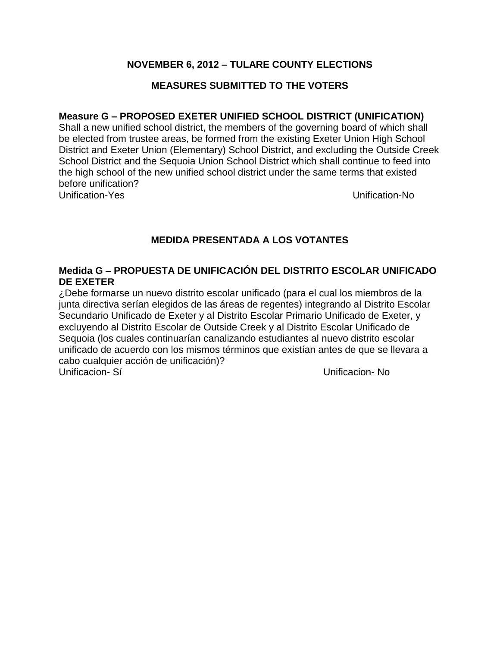## **NOVEMBER 6, 2012 – TULARE COUNTY ELECTIONS**

## **MEASURES SUBMITTED TO THE VOTERS**

### **Measure G – PROPOSED EXETER UNIFIED SCHOOL DISTRICT (UNIFICATION)**

Shall a new unified school district, the members of the governing board of which shall be elected from trustee areas, be formed from the existing Exeter Union High School District and Exeter Union (Elementary) School District, and excluding the Outside Creek School District and the Sequoia Union School District which shall continue to feed into the high school of the new unified school district under the same terms that existed before unification? Unification-Yes Unification-No

# **MEDIDA PRESENTADA A LOS VOTANTES**

## **Medida G – PROPUESTA DE UNIFICACIÓN DEL DISTRITO ESCOLAR UNIFICADO DE EXETER**

¿Debe formarse un nuevo distrito escolar unificado (para el cual los miembros de la junta directiva serían elegidos de las áreas de regentes) integrando al Distrito Escolar Secundario Unificado de Exeter y al Distrito Escolar Primario Unificado de Exeter, y excluyendo al Distrito Escolar de Outside Creek y al Distrito Escolar Unificado de Sequoia (los cuales continuarían canalizando estudiantes al nuevo distrito escolar unificado de acuerdo con los mismos términos que existían antes de que se llevara a cabo cualquier acción de unificación)? Unificacion- Sí Unificacion- No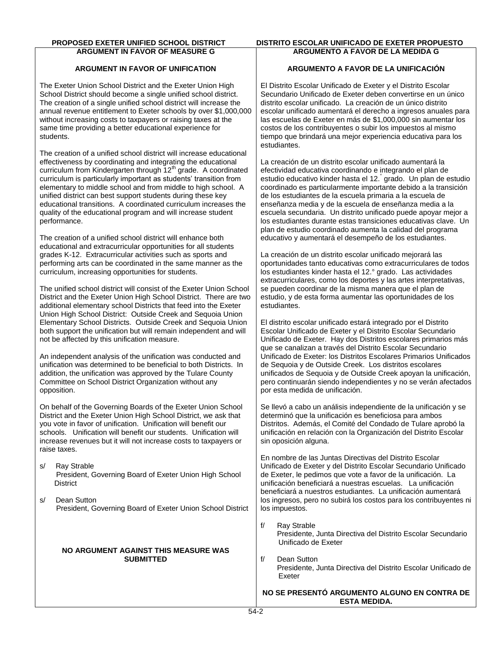# **ARGUMENT IN FAVOR OF MEASURE G**

#### **ARGUMENT IN FAVOR OF UNIFICATION**

The Exeter Union School District and the Exeter Union High School District should become a single unified school district. The creation of a single unified school district will increase the annual revenue entitlement to Exeter schools by over \$1,000,000 without increasing costs to taxpayers or raising taxes at the same time providing a better educational experience for students.

The creation of a unified school district will increase educational effectiveness by coordinating and integrating the educational curriculum from Kindergarten through  $12<sup>th</sup>$  grade. A coordinated curriculum is particularly important as students' transition from elementary to middle school and from middle to high school. A unified district can best support students during these key educational transitions. A coordinated curriculum increases the quality of the educational program and will increase student performance.

The creation of a unified school district will enhance both educational and extracurricular opportunities for all students grades K-12. Extracurricular activities such as sports and performing arts can be coordinated in the same manner as the curriculum, increasing opportunities for students.

The unified school district will consist of the Exeter Union School District and the Exeter Union High School District. There are two additional elementary school Districts that feed into the Exeter Union High School District: Outside Creek and Sequoia Union Elementary School Districts. Outside Creek and Sequoia Union both support the unification but will remain independent and will not be affected by this unification measure.

An independent analysis of the unification was conducted and unification was determined to be beneficial to both Districts. In addition, the unification was approved by the Tulare County Committee on School District Organization without any opposition.

On behalf of the Governing Boards of the Exeter Union School District and the Exeter Union High School District, we ask that you vote in favor of unification. Unification will benefit our schools. Unification will benefit our students. Unification will increase revenues but it will not increase costs to taxpayers or raise taxes.

- s/ Ray Strable President, Governing Board of Exeter Union High School **District**
- s/ Dean Sutton President, Governing Board of Exeter Union School District

#### **NO ARGUMENT AGAINST THIS MEASURE WAS SUBMITTED**

#### **PROPOSED EXETER UNIFIED SCHOOL DISTRICT DISTRITO ESCOLAR UNIFICADO DE EXETER PROPUESTO ARGUMENTO A FAVOR DE LA MEDIDA G**

#### **ARGUMENTO A FAVOR DE LA UNIFICACIÓN**

El Distrito Escolar Unificado de Exeter y el Distrito Escolar Secundario Unificado de Exeter deben convertirse en un único distrito escolar unificado. La creación de un único distrito escolar unificado aumentará el derecho a ingresos anuales para las escuelas de Exeter en más de \$1,000,000 sin aumentar los costos de los contribuyentes o subir los impuestos al mismo tiempo que brindará una mejor experiencia educativa para los estudiantes.

La creación de un distrito escolar unificado aumentará la efectividad educativa coordinando e integrando el plan de estudio educativo kinder hasta el 12.° grado. Un plan de estudio coordinado es particularmente importante debido a la transición de los estudiantes de la escuela primaria a la escuela de enseñanza media y de la escuela de enseñanza media a la escuela secundaria. Un distrito unificado puede apoyar mejor a los estudiantes durante estas transiciones educativas clave. Un plan de estudio coordinado aumenta la calidad del programa educativo y aumentará el desempeño de los estudiantes.

La creación de un distrito escolar unificado mejorará las oportunidades tanto educativas como extracurriculares de todos los estudiantes kinder hasta el 12.° grado. Las actividades extracurriculares, como los deportes y las artes interpretativas, se pueden coordinar de la misma manera que el plan de estudio, y de esta forma aumentar las oportunidades de los estudiantes.

El distrito escolar unificado estará integrado por el Distrito Escolar Unificado de Exeter y el Distrito Escolar Secundario Unificado de Exeter. Hay dos Distritos escolares primarios más que se canalizan a través del Distrito Escolar Secundario Unificado de Exeter: los Distritos Escolares Primarios Unificados de Sequoia y de Outside Creek. Los distritos escolares unificados de Sequoia y de Outside Creek apoyan la unificación, pero continuarán siendo independientes y no se verán afectados por esta medida de unificación.

Se llevó a cabo un análisis independiente de la unificación y se determinó que la unificación es beneficiosa para ambos Distritos. Además, el Comité del Condado de Tulare aprobó la unificación en relación con la Organización del Distrito Escolar sin oposición alguna.

En nombre de las Juntas Directivas del Distrito Escolar Unificado de Exeter y del Distrito Escolar Secundario Unificado de Exeter, le pedimos que vote a favor de la unificación. La unificación beneficiará a nuestras escuelas. La unificación beneficiará a nuestros estudiantes. La unificación aumentará los ingresos, pero no subirá los costos para los contribuyentes ni los impuestos.

- f/ Ray Strable Presidente, Junta Directiva del Distrito Escolar Secundario Unificado de Exeter
- f/ Dean Sutton Presidente, Junta Directiva del Distrito Escolar Unificado de Exeter

**NO SE PRESENTÓ ARGUMENTO ALGUNO EN CONTRA DE ESTA MEDIDA.**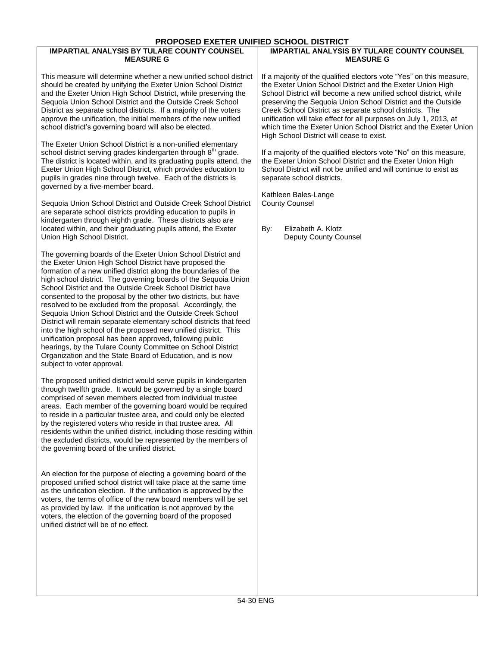#### **PROPOSED EXETER UNIFIED SCHOOL DISTRICT**

#### **IMPARTIAL ANALYSIS BY TULARE COUNTY COUNSEL MEASURE G**

This measure will determine whether a new unified school district should be created by unifying the Exeter Union School District and the Exeter Union High School District, while preserving the Sequoia Union School District and the Outside Creek School District as separate school districts. If a majority of the voters approve the unification, the initial members of the new unified school district's governing board will also be elected.

The Exeter Union School District is a non-unified elementary school district serving grades kindergarten through  $8<sup>th</sup>$  grade. The district is located within, and its graduating pupils attend, the Exeter Union High School District, which provides education to pupils in grades nine through twelve. Each of the districts is governed by a five-member board.

Sequoia Union School District and Outside Creek School District are separate school districts providing education to pupils in kindergarten through eighth grade. These districts also are located within, and their graduating pupils attend, the Exeter Union High School District.

The governing boards of the Exeter Union School District and the Exeter Union High School District have proposed the formation of a new unified district along the boundaries of the high school district. The governing boards of the Sequoia Union School District and the Outside Creek School District have consented to the proposal by the other two districts, but have resolved to be excluded from the proposal. Accordingly, the Sequoia Union School District and the Outside Creek School District will remain separate elementary school districts that feed into the high school of the proposed new unified district. This unification proposal has been approved, following public hearings, by the Tulare County Committee on School District Organization and the State Board of Education, and is now subject to voter approval.

The proposed unified district would serve pupils in kindergarten through twelfth grade. It would be governed by a single board comprised of seven members elected from individual trustee areas. Each member of the governing board would be required to reside in a particular trustee area, and could only be elected by the registered voters who reside in that trustee area. All residents within the unified district, including those residing within the excluded districts, would be represented by the members of the governing board of the unified district.

An election for the purpose of electing a governing board of the proposed unified school district will take place at the same time as the unification election. If the unification is approved by the voters, the terms of office of the new board members will be set as provided by law. If the unification is not approved by the voters, the election of the governing board of the proposed unified district will be of no effect.

#### **IMPARTIAL ANALYSIS BY TULARE COUNTY COUNSEL MEASURE G**

If a majority of the qualified electors vote "Yes" on this measure, the Exeter Union School District and the Exeter Union High School District will become a new unified school district, while preserving the Sequoia Union School District and the Outside Creek School District as separate school districts. The unification will take effect for all purposes on July 1, 2013, at which time the Exeter Union School District and the Exeter Union High School District will cease to exist.

If a majority of the qualified electors vote "No" on this measure, the Exeter Union School District and the Exeter Union High School District will not be unified and will continue to exist as separate school districts.

Kathleen Bales-Lange County Counsel

By: Elizabeth A. Klotz Deputy County Counsel